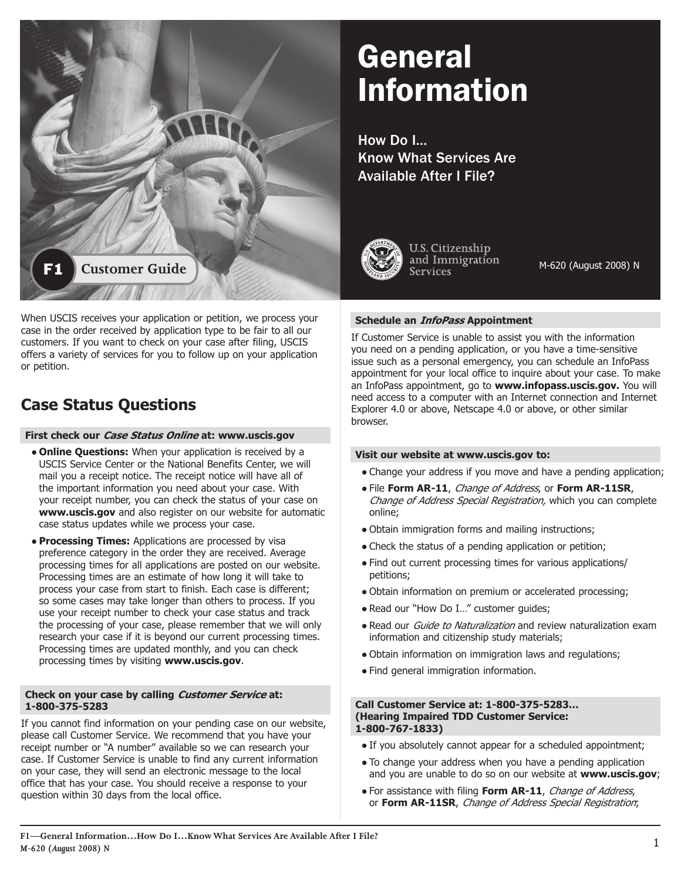

# General Information

How Do I… Know What Services Are Available After I File?



U.S. Citizenship and Immigration **Services** 

M-620 (August 2008) N

# **Schedule an InfoPass Appointment**

 an InfoPass appointment, go to **www.infopass.uscis.gov.** You will If Customer Service is unable to assist you with the information you need on a pending application, or you have a time-sensitive issue such as a personal emergency, you can schedule an InfoPass appointment for your local office to inquire about your case. To make need access to a computer with an Internet connection and Internet Explorer 4.0 or above, Netscape 4.0 or above, or other similar browser.

# **Visit our website at www.uscis.gov to:**

- Change your address if you move and have a pending application;
- **File Form AR-11, Change of Address, or Form AR-11SR,** Change of Address Special Registration, which you can complete online;
- Obtain immigration forms and mailing instructions;
- Check the status of a pending application or petition;
- Find out current processing times for various applications/ petitions;
- Obtain information on premium or accelerated processing;
- Read our "How Do I..." customer guides;
- Read our *Guide to Naturalization* and review naturalization exam information and citizenship study materials;
- Obtain information on immigration laws and regulations;
- Find general immigration information.

#### **Call Customer Service at: 1-800-375-5283… (Hearing Impaired TDD Customer Service: 1-800-767-1833)**

- If you absolutely cannot appear for a scheduled appointment;
- To change your address when you have a pending application and you are unable to do so on our website at **www.uscis.gov**;
- For assistance with filing Form AR-11, Change of Address, or **Form AR-11SR**, Change of Address Special Registration;

# **Case Status Questions**

or petition.

### **First check our Case Status Online at: www.uscis.gov**

case in the order received by application type to be fair to all our customers. If you want to check on your case after filing, USCIS offers a variety of services for you to follow up on your application

- **Online Questions:** When your application is received by a USCIS Service Center or the National Benefits Center, we will mail you a receipt notice. The receipt notice will have all of the important information you need about your case. With your receipt number, you can check the status of your case on **www.uscis.gov** and also register on our website for automatic case status updates while we process your case.
- **Processing Times:** Applications are processed by visa preference category in the order they are received. Average processing times for all applications are posted on our website. Processing times are an estimate of how long it will take to process your case from start to finish. Each case is different; so some cases may take longer than others to process. If you use your receipt number to check your case status and track the processing of your case, please remember that we will only research your case if it is beyond our current processing times. Processing times are updated monthly, and you can check processing times by visiting **www.uscis.gov**.

# **Check on your case by calling Customer Service at: 1-800-375-5283**

If you cannot find information on your pending case on our website, please call Customer Service. We recommend that you have your receipt number or "A number" available so we can research your case. If Customer Service is unable to find any current information on your case, they will send an electronic message to the local office that has your case. You should receive a response to your question within 30 days from the local office.